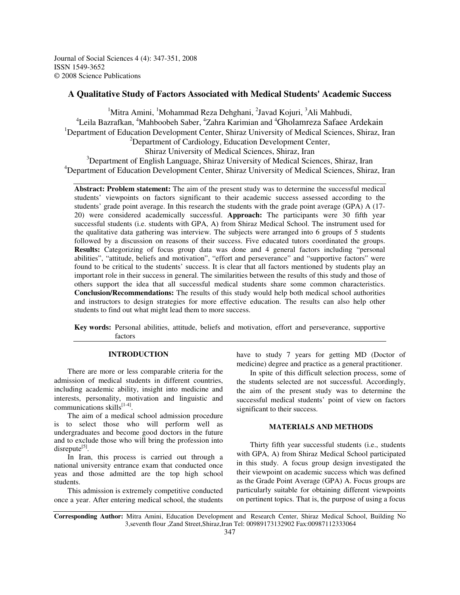Journal of Social Sciences 4 (4): 347-351, 2008 ISSN 1549-3652 © 2008 Science Publications

## **A Qualitative Study of Factors Associated with Medical Students' Academic Success**

<sup>1</sup>Mitra Amini, <sup>1</sup>Mohammad Reza Dehghani, <sup>2</sup>Javad Kojuri, <sup>3</sup>Ali Mahbudi, <sup>4</sup>Leila Bazrafkan, <sup>4</sup>Mahboobeh Saber, <sup>4</sup>Zahra Karimian and <sup>4</sup>Gholamreza Safaee Ardekain <sup>1</sup>Department of Education Development Center, Shiraz University of Medical Sciences, Shiraz, Iran  $2$ Department of Cardiology, Education Development Center, Shiraz University of Medical Sciences, Shiraz, Iran <sup>3</sup>Department of English Language, Shiraz University of Medical Sciences, Shiraz, Iran

<sup>4</sup>Department of Education Development Center, Shiraz University of Medical Sciences, Shiraz, Iran

**Abstract: Problem statement:** The aim of the present study was to determine the successful medical students' viewpoints on factors significant to their academic success assessed according to the students' grade point average. In this research the students with the grade point average (GPA) A (17- 20) were considered academically successful. **Approach:** The participants were 30 fifth year successful students (i.e. students with GPA, A) from Shiraz Medical School. The instrument used for the qualitative data gathering was interview. The subjects were arranged into 6 groups of 5 students followed by a discussion on reasons of their success. Five educated tutors coordinated the groups. **Results:** Categorizing of focus group data was done and 4 general factors including "personal abilities", "attitude, beliefs and motivation", "effort and perseverance" and "supportive factors" were found to be critical to the students' success. It is clear that all factors mentioned by students play an important role in their success in general. The similarities between the results of this study and those of others support the idea that all successful medical students share some common characteristics. **Conclusion/Recommendations:** The results of this study would help both medical school authorities and instructors to design strategies for more effective education. The results can also help other students to find out what might lead them to more success.

**Key words:** Personal abilities, attitude, beliefs and motivation, effort and perseverance, supportive factors

#### **INTRODUCTION**

There are more or less comparable criteria for the admission of medical students in different countries, including academic ability, insight into medicine and interests, personality, motivation and linguistic and communications skills<sup>[1-4]</sup>.

The aim of a medical school admission procedure is to select those who will perform well as undergraduates and become good doctors in the future and to exclude those who will bring the profession into disrepute<sup>[5]</sup>.

In Iran, this process is carried out through a national university entrance exam that conducted once yeas and those admitted are the top high school students.

This admission is extremely competitive conducted once a year. After entering medical school, the students

have to study 7 years for getting MD (Doctor of medicine) degree and practice as a general practitioner.

In spite of this difficult selection process, some of the students selected are not successful. Accordingly, the aim of the present study was to determine the successful medical students' point of view on factors significant to their success.

## **MATERIALS AND METHODS**

Thirty fifth year successful students (i.e., students with GPA, A) from Shiraz Medical School participated in this study. A focus group design investigated the their viewpoint on academic success which was defined as the Grade Point Average (GPA) A. Focus groups are particularly suitable for obtaining different viewpoints on pertinent topics. That is, the purpose of using a focus

**Corresponding Author:** Mitra Amini, Education Development and Research Center, Shiraz Medical School, Building No 3,seventh flour ,Zand Street,Shiraz,Iran Tel: 00989173132902 Fax:00987112333064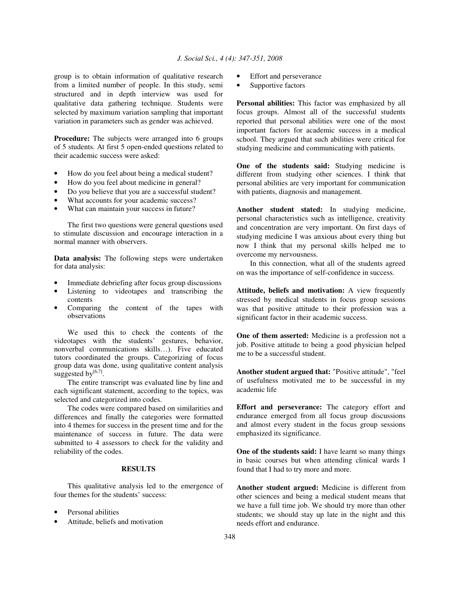group is to obtain information of qualitative research from a limited number of people. In this study, semi structured and in depth interview was used for qualitative data gathering technique. Students were selected by maximum variation sampling that important variation in parameters such as gender was achieved.

**Procedure:** The subjects were arranged into 6 groups of 5 students. At first 5 open-ended questions related to their academic success were asked:

- How do you feel about being a medical student?
- How do you feel about medicine in general?
- Do you believe that you are a successful student?
- What accounts for your academic success?
- What can maintain your success in future?

The first two questions were general questions used to stimulate discussion and encourage interaction in a normal manner with observers.

**Data analysis:** The following steps were undertaken for data analysis:

- Immediate debriefing after focus group discussions
- Listening to videotapes and transcribing the contents
- Comparing the content of the tapes with observations

We used this to check the contents of the videotapes with the students' gestures, behavior, nonverbal communications skills…). Five educated tutors coordinated the groups. Categorizing of focus group data was done, using qualitative content analysis suggested by $[6,7]$ .

The entire transcript was evaluated line by line and each significant statement, according to the topics, was selected and categorized into codes.

The codes were compared based on similarities and differences and finally the categories were formatted into 4 themes for success in the present time and for the maintenance of success in future. The data were submitted to 4 assessors to check for the validity and reliability of the codes.

#### **RESULTS**

This qualitative analysis led to the emergence of four themes for the students' success:

- Personal abilities
- Attitude, beliefs and motivation
- Effort and perseverance
- Supportive factors

**Personal abilities:** This factor was emphasized by all focus groups. Almost all of the successful students reported that personal abilities were one of the most important factors for academic success in a medical school. They argued that such abilities were critical for studying medicine and communicating with patients.

**One of the students said:** Studying medicine is different from studying other sciences. I think that personal abilities are very important for communication with patients, diagnosis and management.

**Another student stated:** In studying medicine, personal characteristics such as intelligence, creativity and concentration are very important. On first days of studying medicine I was anxious about every thing but now I think that my personal skills helped me to overcome my nervousness.

In this connection, what all of the students agreed on was the importance of self-confidence in success.

**Attitude, beliefs and motivation:** A view frequently stressed by medical students in focus group sessions was that positive attitude to their profession was a significant factor in their academic success.

**One of them asserted:** Medicine is a profession not a job. Positive attitude to being a good physician helped me to be a successful student.

**Another student argued that:** "Positive attitude", "feel of usefulness motivated me to be successful in my academic life

**Effort and perseverance:** The category effort and endurance emerged from all focus group discussions and almost every student in the focus group sessions emphasized its significance.

**One of the students said:** I have learnt so many things in basic courses but when attending clinical wards I found that I had to try more and more.

**Another student argued:** Medicine is different from other sciences and being a medical student means that we have a full time job. We should try more than other students; we should stay up late in the night and this needs effort and endurance.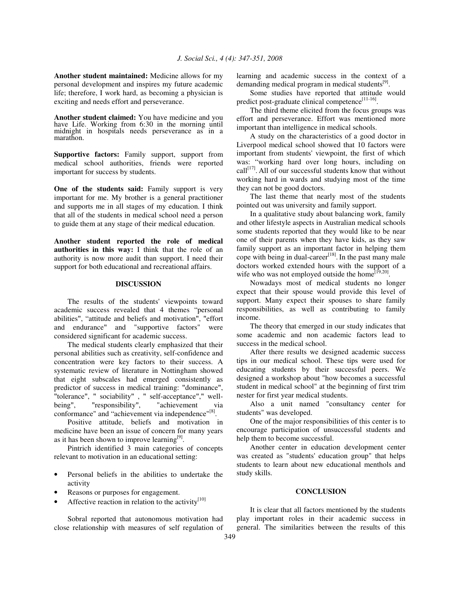**Another student maintained:** Medicine allows for my personal development and inspires my future academic life; therefore, I work hard, as becoming a physician is exciting and needs effort and perseverance.

**Another student claimed:** You have medicine and you have Life. Working from 6:30 in the morning until midnight in hospitals needs perseverance as in a marathon.

**Supportive factors:** Family support, support from medical school authorities, friends were reported important for success by students.

**One of the students said:** Family support is very important for me. My brother is a general practitioner and supports me in all stages of my education. I think that all of the students in medical school need a person to guide them at any stage of their medical education.

**Another student reported the role of medical authorities in this way:** I think that the role of an authority is now more audit than support. I need their support for both educational and recreational affairs.

### **DISCUSSION**

The results of the students' viewpoints toward academic success revealed that 4 themes "personal abilities", "attitude and beliefs and motivation", "effort and endurance" and "supportive factors" were considered significant for academic success.

The medical students clearly emphasized that their personal abilities such as creativity, self-confidence and concentration were key factors to their success. A systematic review of literature in Nottingham showed that eight subscales had emerged consistently as predictor of success in medical training: "dominance", "tolerance", " sociability", " self-acceptance"," well-<br>being", " responsibility", " achievement via being", "responsibility", "achievement via conformance" and "achievement via independence"<sup>[8]</sup>.

Positive attitude, beliefs and motivation in medicine have been an issue of concern for many years as it has been shown to improve learning<sup>[9]</sup>.

Pintrich identified 3 main categories of concepts relevant to motivation in an educational setting:

- Personal beliefs in the abilities to undertake the activity
- Reasons or purposes for engagement.
- Affective reaction in relation to the activity $[10]$

Sobral reported that autonomous motivation had close relationship with measures of self regulation of learning and academic success in the context of a demanding medical program in medical students<sup>[9]</sup>.

Some studies have reported that attitude would predict post-graduate clinical competence<sup>[11-16]</sup>.

The third theme elicited from the focus groups was effort and perseverance. Effort was mentioned more important than intelligence in medical schools.

A study on the characteristics of a good doctor in Liverpool medical school showed that 10 factors were important from students' viewpoint, the first of which was: "working hard over long hours, including on call<sup>[17]</sup>. All of our successful students know that without working hard in wards and studying most of the time they can not be good doctors.

The last theme that nearly most of the students pointed out was university and family support.

In a qualitative study about balancing work, family and other lifestyle aspects in Australian medical schools some students reported that they would like to be near one of their parents when they have kids, as they saw family support as an important factor in helping them cope with being in dual-career<sup>[18]</sup>. In the past many male doctors worked extended hours with the support of a wife who was not employed outside the home  $\left[1^{[9,20]}\right]$ .

Nowadays most of medical students no longer expect that their spouse would provide this level of support. Many expect their spouses to share family responsibilities, as well as contributing to family income.

The theory that emerged in our study indicates that some academic and non academic factors lead to success in the medical school.

After there results we designed academic success tips in our medical school. These tips were used for educating students by their successful peers. We designed a workshop about "how becomes a successful student in medical school" at the beginning of first trim nester for first year medical students.

Also a unit named "consultancy center for students" was developed.

One of the major responsibilities of this center is to encourage participation of unsuccessful students and help them to become successful.

Another center in education development center was created as "students' education group" that helps students to learn about new educational menthols and study skills.

#### **CONCLUSION**

It is clear that all factors mentioned by the students play important roles in their academic success in general. The similarities between the results of this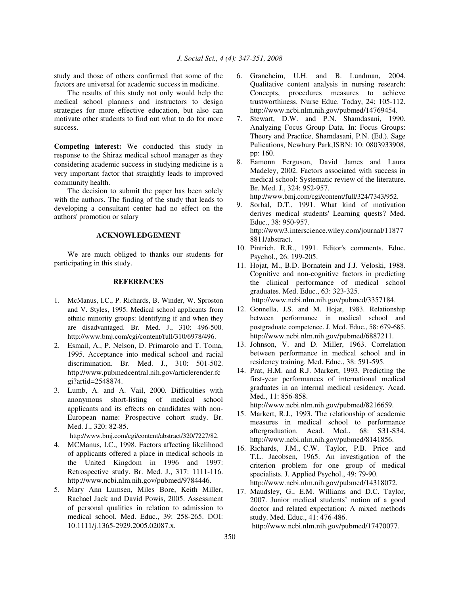study and those of others confirmed that some of the factors are universal for academic success in medicine.

The results of this study not only would help the medical school planners and instructors to design strategies for more effective education, but also can motivate other students to find out what to do for more success.

**Competing interest:** We conducted this study in response to the Shiraz medical school manager as they considering academic success in studying medicine is a very important factor that straightly leads to improved community health.

The decision to submit the paper has been solely with the authors. The finding of the study that leads to developing a consultant center had no effect on the authors' promotion or salary

# **ACKNOWLEDGEMENT**

We are much obliged to thanks our students for participating in this study.

### **REFERENCES**

- 1. McManus, I.C., P. Richards, B. Winder, W. Sproston and V. Styles, 1995. Medical school applicants from ethnic minority groups: Identifying if and when they are disadvantaged. Br. Med. J., 310: 496-500. http://www.bmj.com/cgi/content/full/310/6978/496.
- 2. Esmail, A., P. Nelson, D. Primarolo and T. Toma, 1995. Acceptance into medical school and racial discrimination. Br. Med. J., 310: 501-502. http://www.pubmedcentral.nih.gov/articlerender.fc gi?artid=2548874.
- 3. Lumb, A. and A. Vail, 2000. Difficulties with anonymous short-listing of medical school applicants and its effects on candidates with non-European name: Prospective cohort study. Br. Med. J., 320: 82-85.

http://www.bmj.com/cgi/content/abstract/320/7227/82.

- 4. MCManus, I.C., 1998. Factors affecting likelihood of applicants offered a place in medical schools in the United Kingdom in 1996 and 1997: Retrospective study. Br. Med. J., 317: 1111-116. http://www.ncbi.nlm.nih.gov/pubmed/9784446.
- 5. Mary Ann Lumsen, Miles Bore, Keith Miller, Rachael Jack and David Powis, 2005. Assessment of personal qualities in relation to admission to medical school. Med. Educ., 39: 258-265. DOI: 10.1111/j.1365-2929.2005.02087.x.
- 6. Graneheim, U.H. and B. Lundman, 2004. Qualitative content analysis in nursing research: Concepts, procedures measures to achieve trustworthiness. Nurse Educ. Today, 24: 105-112. http://www.ncbi.nlm.nih.gov/pubmed/14769454.
- 7. Stewart, D.W. and P.N. Shamdasani, 1990. Analyzing Focus Group Data. In: Focus Groups: Theory and Practice, Shamdasani, P.N. (Ed.). Sage Pulications, Newbury Park,ISBN: 10: 0803933908, pp: 160.
- 8. Eamonn Ferguson, David James and Laura Madeley, 2002. Factors associated with success in medical school: Systematic review of the literature. Br. Med. J., 324: 952-957. http://www.bmj.com/cgi/content/full/324/7343/952.
- 9. Sorbal, D.T., 1991. What kind of motivation derives medical students' Learning quests? Med. Educ., 38: 950-957. http://www3.interscience.wiley.com/journal/11877 8811/abstract.
- 10. Pintrich, R.R., 1991. Editor's comments. Educ. Psychol., 26: 199-205.
- 11. Hojat, M., B.D. Bornatein and J.J. Veloski, 1988. Cognitive and non-cognitive factors in predicting the clinical performance of medical school graduates. Med. Educ., 63: 323-325. http://www.ncbi.nlm.nih.gov/pubmed/3357184.
- 12. Gonnella, J.S. and M. Hojat, 1983. Relationship between performance in medical school and postgraduate competence. J. Med. Educ., 58: 679-685. http://www.ncbi.nlm.nih.gov/pubmed/6887211.
- 13. Johnson, V. and D. Miller, 1963. Correlation between performance in medical school and in residency training. Med. Educ., 38: 591-595.
- 14. Prat, H.M. and R.J. Markert, 1993. Predicting the first-year performances of international medical graduates in an internal medical residency. Acad. Med., 11: 856-858.

http://www.ncbi.nlm.nih.gov/pubmed/8216659.

- 15. Markert, R.J., 1993. The relationship of academic measures in medical school to performance aftergraduation. Acad. Med., 68: S31-S34. http://www.ncbi.nlm.nih.gov/pubmed/8141856.
- 16. Richards, J.M., C.W. Taylor, P.B. Price and T.L. Jacobsen, 1965. An investigation of the criterion problem for one group of medical specialists. J. Applied Psychol., 49: 79-90. http://www.ncbi.nlm.nih.gov/pubmed/14318072.
- 17. Maudsley, G., E.M. Williams and D.C. Taylor, 2007. Junior medical students' notion of a good doctor and related expectation: A mixed methods study. Med. Educ., 41: 476-486. http://www.ncbi.nlm.nih.gov/pubmed/17470077.